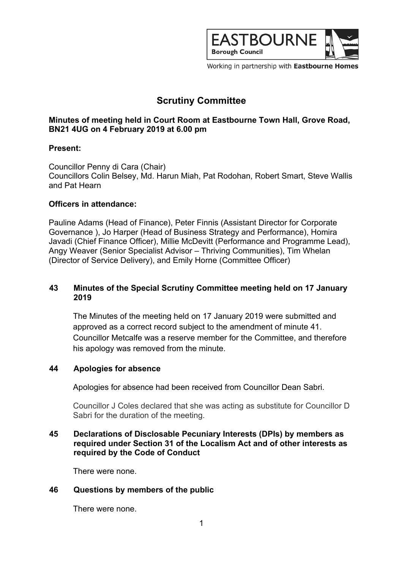

Working in partnership with Eastbourne Homes

# **Scrutiny Committee**

# **Minutes of meeting held in Court Room at Eastbourne Town Hall, Grove Road, BN21 4UG on 4 February 2019 at 6.00 pm**

## **Present:**

Councillor Penny di Cara (Chair) Councillors Colin Belsey, Md. Harun Miah, Pat Rodohan, Robert Smart, Steve Wallis and Pat Hearn

## **Officers in attendance:**

Pauline Adams (Head of Finance), Peter Finnis (Assistant Director for Corporate Governance ), Jo Harper (Head of Business Strategy and Performance), Homira Javadi (Chief Finance Officer), Millie McDevitt (Performance and Programme Lead), Angy Weaver (Senior Specialist Advisor – Thriving Communities), Tim Whelan (Director of Service Delivery), and Emily Horne (Committee Officer)

# **43 Minutes of the Special Scrutiny Committee meeting held on 17 January 2019**

The Minutes of the meeting held on 17 January 2019 were submitted and approved as a correct record subject to the amendment of minute 41. Councillor Metcalfe was a reserve member for the Committee, and therefore his apology was removed from the minute.

## **44 Apologies for absence**

Apologies for absence had been received from Councillor Dean Sabri.

Councillor J Coles declared that she was acting as substitute for Councillor D Sabri for the duration of the meeting.

# **45 Declarations of Disclosable Pecuniary Interests (DPIs) by members as required under Section 31 of the Localism Act and of other interests as required by the Code of Conduct**

There were none.

## **46 Questions by members of the public**

There were none.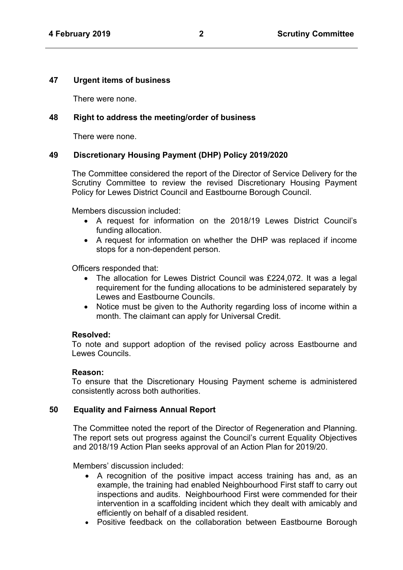#### **47 Urgent items of business**

There were none.

#### **48 Right to address the meeting/order of business**

There were none.

## **49 Discretionary Housing Payment (DHP) Policy 2019/2020**

The Committee considered the report of the Director of Service Delivery for the Scrutiny Committee to review the revised Discretionary Housing Payment Policy for Lewes District Council and Eastbourne Borough Council.

Members discussion included:

- A request for information on the 2018/19 Lewes District Council's funding allocation.
- A request for information on whether the DHP was replaced if income stops for a non-dependent person.

Officers responded that:

- The allocation for Lewes District Council was £224,072. It was a legal requirement for the funding allocations to be administered separately by Lewes and Eastbourne Councils.
- Notice must be given to the Authority regarding loss of income within a month. The claimant can apply for Universal Credit.

#### **Resolved:**

To note and support adoption of the revised policy across Eastbourne and Lewes Councils.

#### **Reason:**

To ensure that the Discretionary Housing Payment scheme is administered consistently across both authorities.

#### **50 Equality and Fairness Annual Report**

The Committee noted the report of the Director of Regeneration and Planning. The report sets out progress against the Council's current Equality Objectives and 2018/19 Action Plan seeks approval of an Action Plan for 2019/20.

Members' discussion included:

- A recognition of the positive impact access training has and, as an example, the training had enabled Neighbourhood First staff to carry out inspections and audits. Neighbourhood First were commended for their intervention in a scaffolding incident which they dealt with amicably and efficiently on behalf of a disabled resident.
- Positive feedback on the collaboration between Eastbourne Borough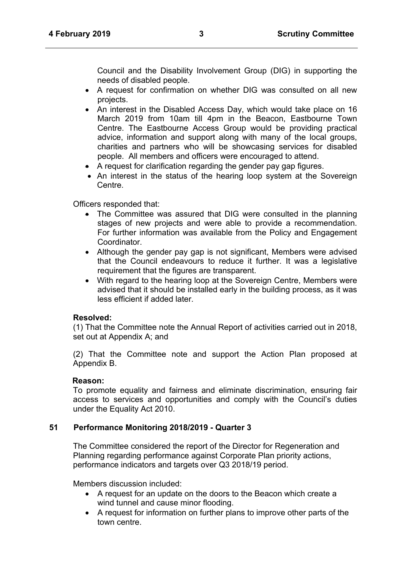Council and the Disability Involvement Group (DIG) in supporting the needs of disabled people.

- A request for confirmation on whether DIG was consulted on all new projects.
- An interest in the Disabled Access Day, which would take place on 16 March 2019 from 10am till 4pm in the Beacon, Eastbourne Town Centre. The Eastbourne Access Group would be providing practical advice, information and support along with many of the local groups, charities and partners who will be showcasing services for disabled people. All members and officers were encouraged to attend.
- A request for clarification regarding the gender pay gap figures.
- An interest in the status of the hearing loop system at the Sovereign Centre.

Officers responded that:

- The Committee was assured that DIG were consulted in the planning stages of new projects and were able to provide a recommendation. For further information was available from the Policy and Engagement **Coordinator**
- Although the gender pay gap is not significant, Members were advised that the Council endeavours to reduce it further. It was a legislative requirement that the figures are transparent.
- With regard to the hearing loop at the Sovereign Centre, Members were advised that it should be installed early in the building process, as it was less efficient if added later

## **Resolved:**

(1) That the Committee note the Annual Report of activities carried out in 2018, set out at Appendix A; and

(2) That the Committee note and support the Action Plan proposed at Appendix B.

## Reason:

To promote equality and fairness and eliminate discrimination, ensuring fair access to services and opportunities and comply with the Council's duties under the Equality Act 2010.

## **51 Performance Monitoring 2018/2019 - Quarter 3**

The Committee considered the report of the Director for Regeneration and Planning regarding performance against Corporate Plan priority actions, performance indicators and targets over Q3 2018/19 period.

Members discussion included:

- A request for an update on the doors to the Beacon which create a wind tunnel and cause minor flooding.
- A request for information on further plans to improve other parts of the town centre.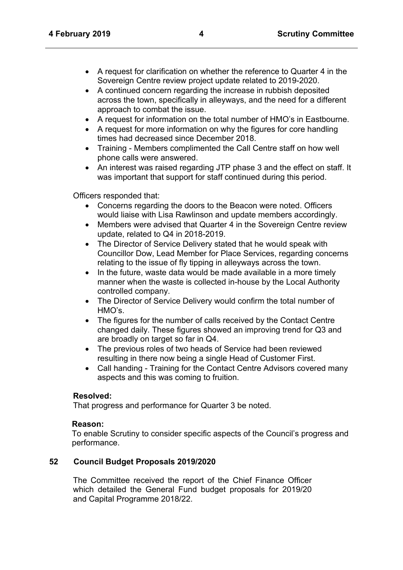- A request for clarification on whether the reference to Quarter 4 in the Sovereign Centre review project update related to 2019-2020.
- A continued concern regarding the increase in rubbish deposited across the town, specifically in alleyways, and the need for a different approach to combat the issue.
- A request for information on the total number of HMO's in Eastbourne.
- A request for more information on why the figures for core handling times had decreased since December 2018.
- Training Members complimented the Call Centre staff on how well phone calls were answered.
- An interest was raised regarding JTP phase 3 and the effect on staff. It was important that support for staff continued during this period.

Officers responded that:

- Concerns regarding the doors to the Beacon were noted. Officers would liaise with Lisa Rawlinson and update members accordingly.
- Members were advised that Quarter 4 in the Sovereign Centre review update, related to Q4 in 2018-2019.
- The Director of Service Delivery stated that he would speak with Councillor Dow, Lead Member for Place Services, regarding concerns relating to the issue of fly tipping in alleyways across the town.
- In the future, waste data would be made available in a more timely manner when the waste is collected in-house by the Local Authority controlled company.
- The Director of Service Delivery would confirm the total number of HMO's.
- The figures for the number of calls received by the Contact Centre changed daily. These figures showed an improving trend for Q3 and are broadly on target so far in Q4.
- The previous roles of two heads of Service had been reviewed resulting in there now being a single Head of Customer First.
- Call handing Training for the Contact Centre Advisors covered many aspects and this was coming to fruition.

## **Resolved:**

That progress and performance for Quarter 3 be noted.

## **Reason:**

To enable Scrutiny to consider specific aspects of the Council's progress and performance.

## **52 Council Budget Proposals 2019/2020**

The Committee received the report of the Chief Finance Officer which detailed the General Fund budget proposals for 2019/20 and Capital Programme 2018/22.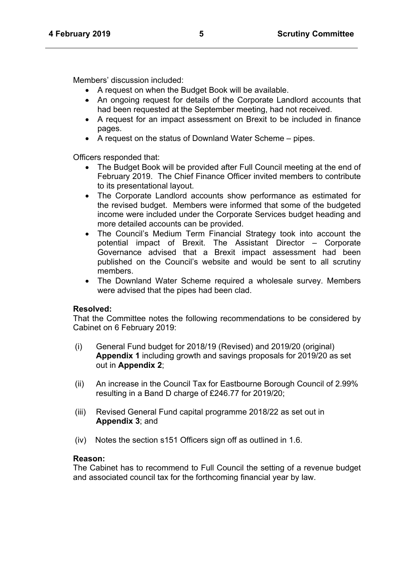Members' discussion included:

- A request on when the Budget Book will be available.
- An ongoing request for details of the Corporate Landlord accounts that had been requested at the September meeting, had not received.
- A request for an impact assessment on Brexit to be included in finance pages.
- A request on the status of Downland Water Scheme pipes.

Officers responded that:

- The Budget Book will be provided after Full Council meeting at the end of February 2019. The Chief Finance Officer invited members to contribute to its presentational layout.
- The Corporate Landlord accounts show performance as estimated for the revised budget. Members were informed that some of the budgeted income were included under the Corporate Services budget heading and more detailed accounts can be provided.
- The Council's Medium Term Financial Strategy took into account the potential impact of Brexit. The Assistant Director – Corporate Governance advised that a Brexit impact assessment had been published on the Council's website and would be sent to all scrutiny members.
- The Downland Water Scheme required a wholesale survey. Members were advised that the pipes had been clad.

## **Resolved:**

That the Committee notes the following recommendations to be considered by Cabinet on 6 February 2019:

- (i) General Fund budget for 2018/19 (Revised) and 2019/20 (original) **Appendix 1** including growth and savings proposals for 2019/20 as set out in **Appendix 2**;
- (ii) An increase in the Council Tax for Eastbourne Borough Council of 2.99% resulting in a Band D charge of £246.77 for 2019/20;
- (iii) Revised General Fund capital programme 2018/22 as set out in **Appendix 3**; and
- (iv) Notes the section s151 Officers sign off as outlined in 1.6.

## **Reason:**

The Cabinet has to recommend to Full Council the setting of a revenue budget and associated council tax for the forthcoming financial year by law.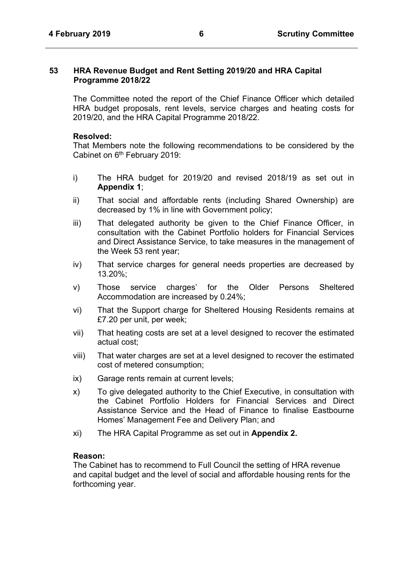#### **53 HRA Revenue Budget and Rent Setting 2019/20 and HRA Capital Programme 2018/22**

The Committee noted the report of the Chief Finance Officer which detailed HRA budget proposals, rent levels, service charges and heating costs for 2019/20, and the HRA Capital Programme 2018/22.

#### **Resolved:**

That Members note the following recommendations to be considered by the Cabinet on 6<sup>th</sup> February 2019:

- i) The HRA budget for 2019/20 and revised 2018/19 as set out in **Appendix 1**;
- ii) That social and affordable rents (including Shared Ownership) are decreased by 1% in line with Government policy;
- iii) That delegated authority be given to the Chief Finance Officer, in consultation with the Cabinet Portfolio holders for Financial Services and Direct Assistance Service, to take measures in the management of the Week 53 rent year;
- iv) That service charges for general needs properties are decreased by 13.20%;
- v) Those service charges' for the Older Persons Sheltered Accommodation are increased by 0.24%;
- vi) That the Support charge for Sheltered Housing Residents remains at £7.20 per unit, per week;
- vii) That heating costs are set at a level designed to recover the estimated actual cost;
- viii) That water charges are set at a level designed to recover the estimated cost of metered consumption;
- ix) Garage rents remain at current levels;
- x) To give delegated authority to the Chief Executive, in consultation with the Cabinet Portfolio Holders for Financial Services and Direct Assistance Service and the Head of Finance to finalise Eastbourne Homes' Management Fee and Delivery Plan; and
- xi) The HRA Capital Programme as set out in **Appendix 2.**

#### **Reason:**

The Cabinet has to recommend to Full Council the setting of HRA revenue and capital budget and the level of social and affordable housing rents for the forthcoming year.